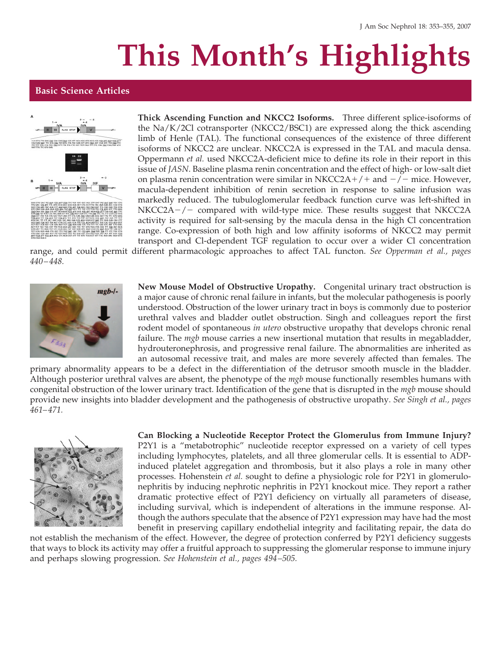## **This Month's Highlights**

## **Basic Science Articles**



**Thick Ascending Function and NKCC2 Isoforms.** Three different splice-isoforms of the Na/K/2Cl cotransporter (NKCC2/BSC1) are expressed along the thick ascending limb of Henle (TAL). The functional consequences of the existence of three different isoforms of NKCC2 are unclear. NKCC2A is expressed in the TAL and macula densa. Oppermann *et al.* used NKCC2A-deficient mice to define its role in their report in this issue of *JASN*. Baseline plasma renin concentration and the effect of high- or low-salt diet on plasma renin concentration were similar in NKCC2A+/+ and  $-/-$  mice. However, macula-dependent inhibition of renin secretion in response to saline infusion was markedly reduced. The tubuloglomerular feedback function curve was left-shifted in NKCC2A-/- compared with wild-type mice. These results suggest that NKCC2A activity is required for salt-sensing by the macula densa in the high Cl concentration range. Co-expression of both high and low affinity isoforms of NKCC2 may permit transport and Cl-dependent TGF regulation to occur over a wider Cl concentration

range, and could permit different pharmacologic approaches to affect TAL functon. *See Opperman et al., pages 440 – 448.*



**New Mouse Model of Obstructive Uropathy.** Congenital urinary tract obstruction is a major cause of chronic renal failure in infants, but the molecular pathogenesis is poorly understood. Obstruction of the lower urinary tract in boys is commonly due to posterior urethral valves and bladder outlet obstruction. Singh and colleagues report the first rodent model of spontaneous *in utero* obstructive uropathy that develops chronic renal failure. The *mgb* mouse carries a new insertional mutation that results in megabladder, hydrouteronephrosis, and progressive renal failure. The abnormalities are inherited as an autosomal recessive trait, and males are more severely affected than females. The

primary abnormality appears to be a defect in the differentiation of the detrusor smooth muscle in the bladder. Although posterior urethral valves are absent, the phenotype of the *mgb* mouse functionally resembles humans with congenital obstruction of the lower urinary tract. Identification of the gene that is disrupted in the *mgb* mouse should provide new insights into bladder development and the pathogenesis of obstructive uropathy. *See Singh et al., pages 461– 471.*



**Can Blocking a Nucleotide Receptor Protect the Glomerulus from Immune Injury?** P2Y1 is a "metabotrophic" nucleotide receptor expressed on a variety of cell types including lymphocytes, platelets, and all three glomerular cells. It is essential to ADPinduced platelet aggregation and thrombosis, but it also plays a role in many other processes. Hohenstein *et al.* sought to define a physiologic role for P2Y1 in glomerulonephritis by inducing nephrotic nephritis in P2Y1 knockout mice. They report a rather dramatic protective effect of P2Y1 deficiency on virtually all parameters of disease, including survival, which is independent of alterations in the immune response. Although the authors speculate that the absence of P2Y1 expression may have had the most benefit in preserving capillary endothelial integrity and facilitating repair, the data do

not establish the mechanism of the effect. However, the degree of protection conferred by P2Y1 deficiency suggests that ways to block its activity may offer a fruitful approach to suppressing the glomerular response to immune injury and perhaps slowing progression. *See Hohenstein et al., pages 494 –505.*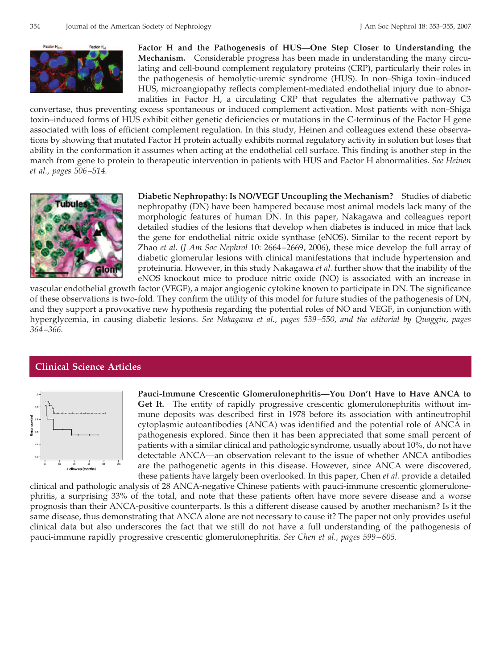

**Factor H and the Pathogenesis of HUS—One Step Closer to Understanding the Mechanism.** Considerable progress has been made in understanding the many circulating and cell-bound complement regulatory proteins (CRP), particularly their roles in the pathogenesis of hemolytic-uremic syndrome (HUS). In non–Shiga toxin–induced HUS, microangiopathy reflects complement-mediated endothelial injury due to abnormalities in Factor H, a circulating CRP that regulates the alternative pathway C3

convertase, thus preventing excess spontaneous or induced complement activation. Most patients with non–Shiga toxin–induced forms of HUS exhibit either genetic deficiencies or mutations in the C-terminus of the Factor H gene associated with loss of efficient complement regulation. In this study, Heinen and colleagues extend these observations by showing that mutated Factor H protein actually exhibits normal regulatory activity in solution but loses that ability in the conformation it assumes when acting at the endothelial cell surface. This finding is another step in the march from gene to protein to therapeutic intervention in patients with HUS and Factor H abnormalities. *See Heinen et al., pages 506 –514.*



**Diabetic Nephropathy: Is NO/VEGF Uncoupling the Mechanism?** Studies of diabetic nephropathy (DN) have been hampered because most animal models lack many of the morphologic features of human DN. In this paper, Nakagawa and colleagues report detailed studies of the lesions that develop when diabetes is induced in mice that lack the gene for endothelial nitric oxide synthase (eNOS). Similar to the recent report by Zhao *et al.* (*J Am Soc Nephrol* 10: 2664 –2669, 2006), these mice develop the full array of diabetic glomerular lesions with clinical manifestations that include hypertension and proteinuria. However, in this study Nakagawa *et al.* further show that the inability of the eNOS knockout mice to produce nitric oxide (NO) is associated with an increase in

vascular endothelial growth factor (VEGF), a major angiogenic cytokine known to participate in DN. The significance of these observations is two-fold. They confirm the utility of this model for future studies of the pathogenesis of DN, and they support a provocative new hypothesis regarding the potential roles of NO and VEGF, in conjunction with hyperglycemia, in causing diabetic lesions. *See Nakagawa et al., pages 539 –550, and the editorial by Quaggin, pages 364 –366.*

## **Clinical Science Articles**



**Pauci-Immune Crescentic Glomerulonephritis—You Don't Have to Have ANCA to Get It.** The entity of rapidly progressive crescentic glomerulonephritis without immune deposits was described first in 1978 before its association with antineutrophil cytoplasmic autoantibodies (ANCA) was identified and the potential role of ANCA in pathogenesis explored. Since then it has been appreciated that some small percent of patients with a similar clinical and pathologic syndrome, usually about 10%, do not have detectable ANCA—an observation relevant to the issue of whether ANCA antibodies are the pathogenetic agents in this disease. However, since ANCA were discovered, these patients have largely been overlooked. In this paper, Chen *et al.* provide a detailed

clinical and pathologic analysis of 28 ANCA-negative Chinese patients with pauci-immune crescentic glomerulonephritis, a surprising 33% of the total, and note that these patients often have more severe disease and a worse prognosis than their ANCA-positive counterparts. Is this a different disease caused by another mechanism? Is it the same disease, thus demonstrating that ANCA alone are not necessary to cause it? The paper not only provides useful clinical data but also underscores the fact that we still do not have a full understanding of the pathogenesis of pauci-immune rapidly progressive crescentic glomerulonephritis. *See Chen et al., pages 599 – 605.*